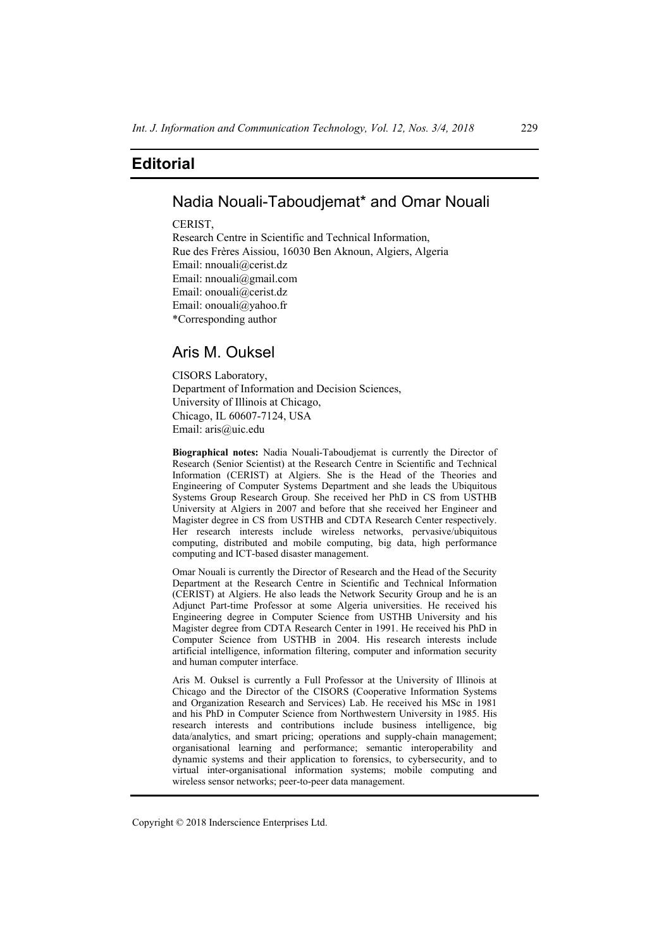# **Editorial**

# Nadia Nouali-Taboudjemat\* and Omar Nouali

#### **CERIST**

Research Centre in Scientific and Technical Information, Rue des Frères Aissiou, 16030 Ben Aknoun, Algiers, Algeria Email: nnouali@cerist.dz Email: nnouali@gmail.com Email: onouali@cerist.dz Email: onouali@yahoo.fr \*Corresponding author

# Aris M. Ouksel

CISORS Laboratory, Department of Information and Decision Sciences, University of Illinois at Chicago, Chicago, IL 60607-7124, USA Email: aris@uic.edu

**Biographical notes:** Nadia Nouali-Taboudjemat is currently the Director of Research (Senior Scientist) at the Research Centre in Scientific and Technical Information (CERIST) at Algiers. She is the Head of the Theories and Engineering of Computer Systems Department and she leads the Ubiquitous Systems Group Research Group. She received her PhD in CS from USTHB University at Algiers in 2007 and before that she received her Engineer and Magister degree in CS from USTHB and CDTA Research Center respectively. Her research interests include wireless networks, pervasive/ubiquitous computing, distributed and mobile computing, big data, high performance computing and ICT-based disaster management.

Omar Nouali is currently the Director of Research and the Head of the Security Department at the Research Centre in Scientific and Technical Information (CERIST) at Algiers. He also leads the Network Security Group and he is an Adjunct Part-time Professor at some Algeria universities. He received his Engineering degree in Computer Science from USTHB University and his Magister degree from CDTA Research Center in 1991. He received his PhD in Computer Science from USTHB in 2004. His research interests include artificial intelligence, information filtering, computer and information security and human computer interface.

Aris M. Ouksel is currently a Full Professor at the University of Illinois at Chicago and the Director of the CISORS (Cooperative Information Systems and Organization Research and Services) Lab. He received his MSc in 1981 and his PhD in Computer Science from Northwestern University in 1985. His research interests and contributions include business intelligence, big data/analytics, and smart pricing; operations and supply-chain management; organisational learning and performance; semantic interoperability and dynamic systems and their application to forensics, to cybersecurity, and to virtual inter-organisational information systems; mobile computing and wireless sensor networks; peer-to-peer data management.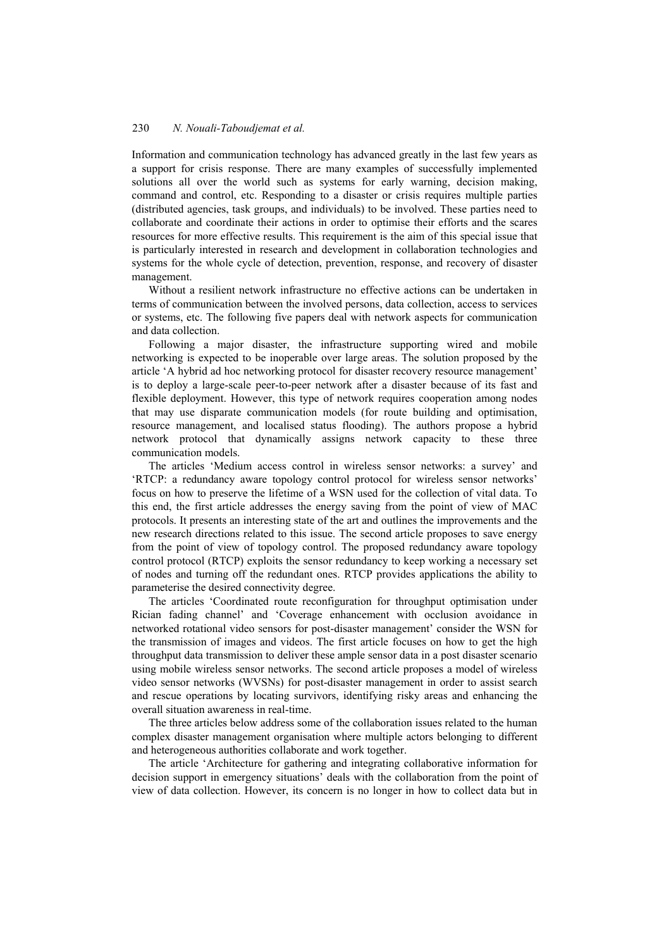### 230 *N. Nouali-Taboudjemat et al.*

Information and communication technology has advanced greatly in the last few years as a support for crisis response. There are many examples of successfully implemented solutions all over the world such as systems for early warning, decision making, command and control, etc. Responding to a disaster or crisis requires multiple parties (distributed agencies, task groups, and individuals) to be involved. These parties need to collaborate and coordinate their actions in order to optimise their efforts and the scares resources for more effective results. This requirement is the aim of this special issue that is particularly interested in research and development in collaboration technologies and systems for the whole cycle of detection, prevention, response, and recovery of disaster management.

Without a resilient network infrastructure no effective actions can be undertaken in terms of communication between the involved persons, data collection, access to services or systems, etc. The following five papers deal with network aspects for communication and data collection.

Following a major disaster, the infrastructure supporting wired and mobile networking is expected to be inoperable over large areas. The solution proposed by the article 'A hybrid ad hoc networking protocol for disaster recovery resource management' is to deploy a large-scale peer-to-peer network after a disaster because of its fast and flexible deployment. However, this type of network requires cooperation among nodes that may use disparate communication models (for route building and optimisation, resource management, and localised status flooding). The authors propose a hybrid network protocol that dynamically assigns network capacity to these three communication models.

The articles 'Medium access control in wireless sensor networks: a survey' and 'RTCP: a redundancy aware topology control protocol for wireless sensor networks' focus on how to preserve the lifetime of a WSN used for the collection of vital data. To this end, the first article addresses the energy saving from the point of view of MAC protocols. It presents an interesting state of the art and outlines the improvements and the new research directions related to this issue. The second article proposes to save energy from the point of view of topology control. The proposed redundancy aware topology control protocol (RTCP) exploits the sensor redundancy to keep working a necessary set of nodes and turning off the redundant ones. RTCP provides applications the ability to parameterise the desired connectivity degree.

The articles 'Coordinated route reconfiguration for throughput optimisation under Rician fading channel' and 'Coverage enhancement with occlusion avoidance in networked rotational video sensors for post-disaster management' consider the WSN for the transmission of images and videos. The first article focuses on how to get the high throughput data transmission to deliver these ample sensor data in a post disaster scenario using mobile wireless sensor networks. The second article proposes a model of wireless video sensor networks (WVSNs) for post-disaster management in order to assist search and rescue operations by locating survivors, identifying risky areas and enhancing the overall situation awareness in real-time.

The three articles below address some of the collaboration issues related to the human complex disaster management organisation where multiple actors belonging to different and heterogeneous authorities collaborate and work together.

The article 'Architecture for gathering and integrating collaborative information for decision support in emergency situations' deals with the collaboration from the point of view of data collection. However, its concern is no longer in how to collect data but in